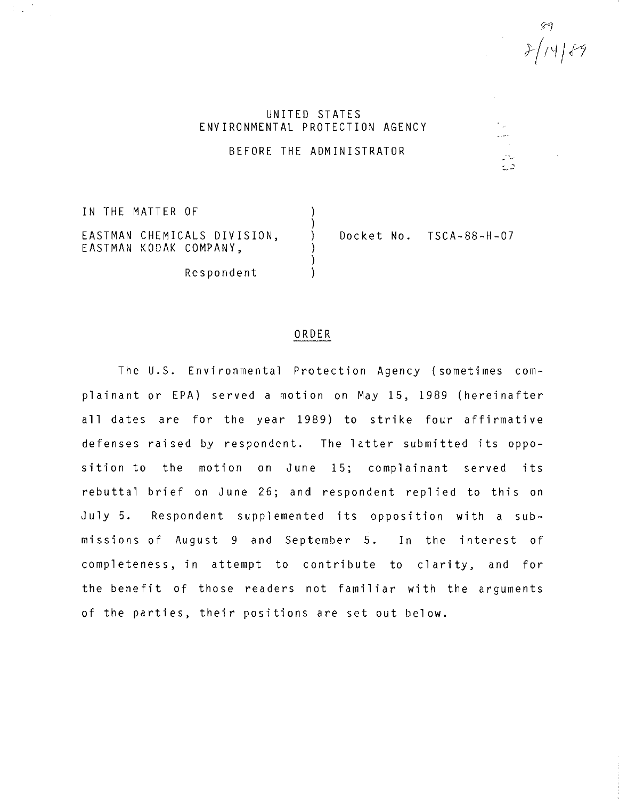$\mathcal{L}_{\text{max}}$  $\sim$   $\sim$ 

# UNITED STATES ENVIRONMENTAL PROTECTION AGENCY

BEFORE THE ADMINISTRATOR

IN THE MATTER OF ) ) ) ) ) EASTMAN CHEMICALS DIVISION, EASTMAN KODAK COMPANY, Respondent Docket No. TSCA-88-H-07

### ORDER

The U.S. Environmental Protection Agency (sometimes complainant or EPA) served a motion on May 15, 1989 (hereinafter all dates are for the year 1989) to strike four affirmative defenses raised by respondent. The latter submitted its opposition to the motion on June 15; complainant served its rebuttal brief on June 26; and respondent replied to this on July 5. Respondent supplemented its opposition with a submissions of August 9 and September 5. In the interest of completeness, in attempt to contribute to clarity, and for the benefit of those readers not familiar with the arguments of the parties, their positions are set out below.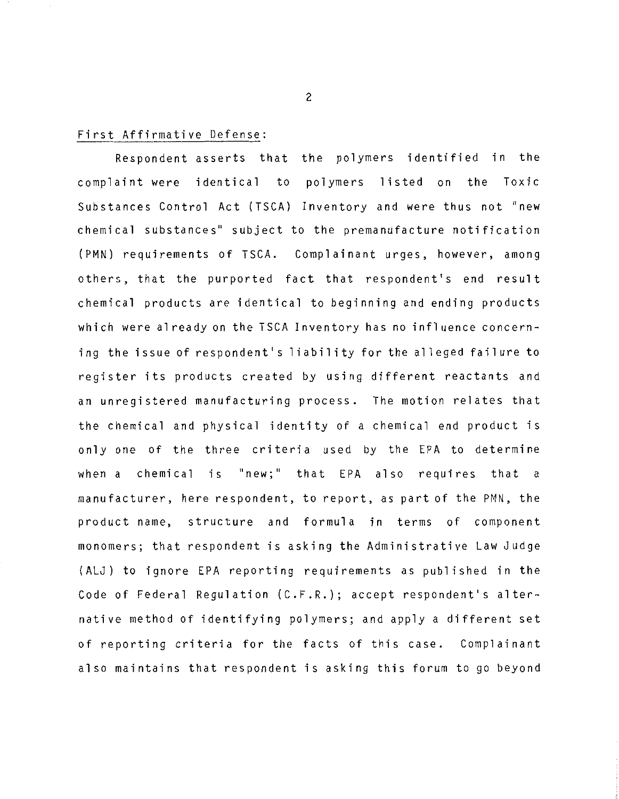## First Affirmative Defense:

Respondent asserts that the polymers identified in the complaint were identical to polymers listed on the Toxic Substances Control Act (TSCA) Inventory and were thus not "new chemical substances'' subject to the premanufacture notification (PMN) requirements of TSCA. Complainant urges, however, among others, that the purported fact **that** respondent's end result chemical products are identical to beginning and ending products which were already on the TSCA Inventory has no influence concerning the issue of respondent's liability for the alleged failure to register its products created by using different reactants and an unregistered manufacturing process. The motion relates that the chemical and physical identity of a chemical end product is only one of the three criteria used by the EPA to determine when a chemical is "new;" that EPA also requires that a manufacturer, here respondent, to report, as part of the PMN, the product name, structure and formula in terms of component monomers; that respondent is asking the Administrative Law Judge (ALJ) to ignore EPA reporting requirements as published in the Code of Federal Regulation (C.F.R.); accept respondent's alternative method of identifying polymers; and apply a different set of reporting criteria for the facts of this case. Complainant also maintains that respondent is asking this forum to go beyond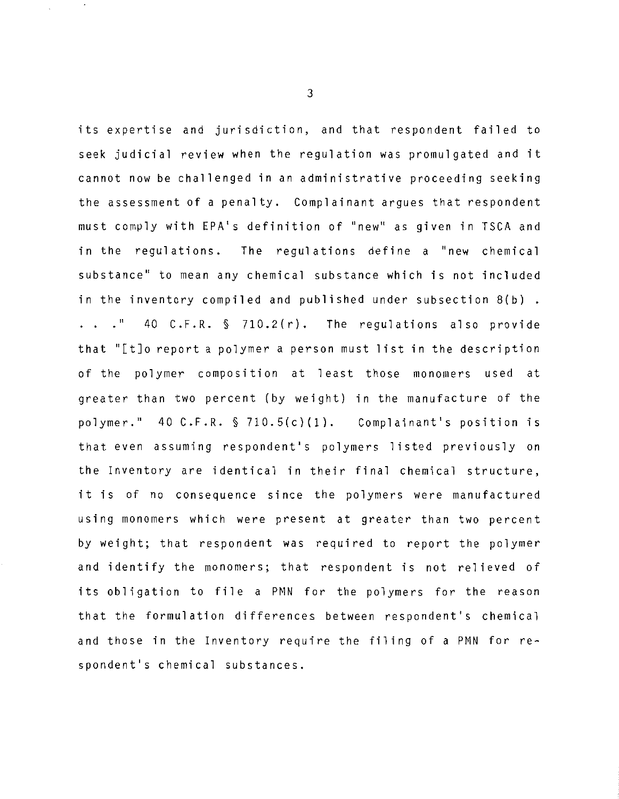its expertise and jurisdiction, and that respondent failed to seek judicial review when the regulation was promulgated and it cannot now be challenged in an administrative proceeding seeking the assessment of a penalty. Complainant argues that respondent must comply with EPA's definition of "new'' as given in TSCA and in the regulations. The regulations define a "new chemical substance'' to mean any chemical substance which is not included in the inventory compiled and published under subsection 8(b) .  $\cdot$  . . " 40 C.F.R.  $\frac{1}{2}$  710.2(r). The regulations also provide that "[t]o report a polymer a person must list in the description of the polymer composition at least those monomers used at greater than two percent (by weight) in the manufacture of the polymer." 40 C.F.R. § 710.5(c)(l). Complainant's position is that even assuming respondent's polymers listed previously on the Inventory are identical in their final chemical structure, it is of no consequence since the polymers were manufactured using monomers which were present at greater than two percent by weight; that respondent was required to report the polymer and identify the monomers; that respondent is not relieved of its obligation to file a PNN for the polymers for the reason that the formulation differences between respondent's chemical and those in the Inventory require the filing of a PMN for respondent's chemical substances.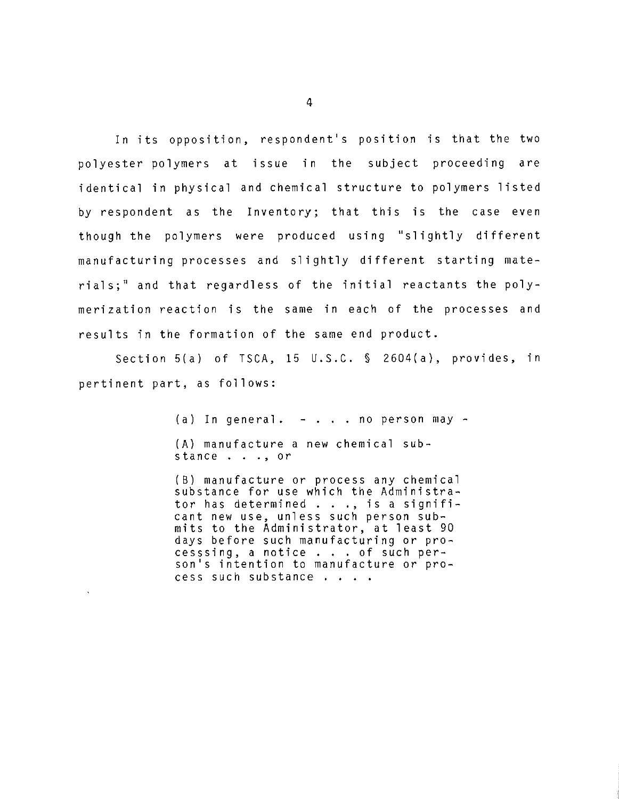In its opposition, respondent's position is that the two polyester polymers at issue in the subject proceeding are identical in physical and chemical structure to polymers listed by respondent as the Inventory; that this is the case even though the polymers were produced using "slightly different manufacturing processes and slightly different starting materials;" and that regardless of the initial reactants the polymerization reaction is the same in each of the processes and results in the formation of the same end product.

Section 5(a) of TSCA, 15 U.S.C. § 2604(a), provides, in pertinent part, as follows:

> (a) In general.  $-$  . . . no person may  $-$ (A) manufacture a new chemical sub-stance ... , or

(B) manufacture or process any chemical substance for use which the Administra-tor has determined ... , is a signifitor has determined . . ., is a signifi-<br>cant new use, unless such person submits to the Administrator, at least 90 mits to the Administrator, at least 90<br>days before such manufacturing or pro-<br>cesssing, a notice . . . of such per-<br>son's intention to manufacture or processsing, a notice . . . of such per-<br>son's intention to manufacture or pro-<br>cess such substance . . . .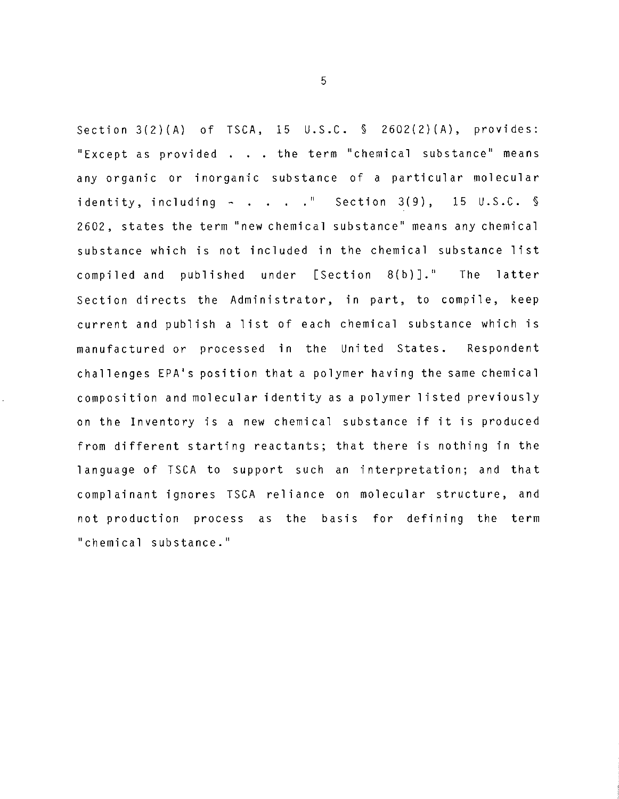Section 3(2)(A) of TSCA, 15 U.S.C. § 2602(2)(A), provides: "Except as provided . . . the term "chemical substance" means any organic or inorganic substance of a particular molecular identity, including  $-$  . . . ." Section 3(9), 15 U.S.C. § 2602, states the term "new chemical substance" means any chemical substance which is not included in the chemical substance list compiled and published under [Section B(b)].'' The latter Section directs the Administrator, in part, to compile, keep current and publish a list of each chemical substance which is manufactured or processed in the United States. Respondent challenges EPA's position that a polymer having the same chemical composition and molecular identity as a polymer listed previously on the Inventory is a new chemical substance if it is produced from different starting reactants; that there is nothing in the 1 anguage of TSCA to support such an interpretation; and that complainant ignores TSCA reliance on molecular structure, and not production process as the basis for defining the term ''chemical substance.''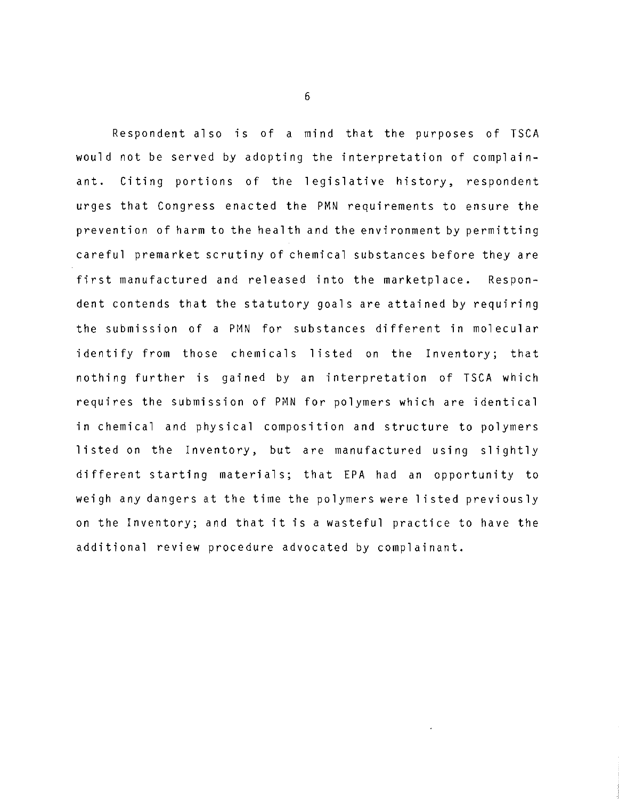Respondent also is of a mind that the purposes of TSCA would not be served by adopting the interpretation of complainant. Citing portions of the legislative history, respondent urges that Congress enacted the PMN requirements to ensure the prevention of harm to the health and the environment by permitting careful premarket scrutiny of chemical substances before they are first manufactured and released into the marketplace. Respondent contends that the statutory goals are attained by requiring the submission of a PMN for substances different in molecular identify from those chemicals listed on the Inventory; that nothing further is gained by an interpretation of TSCA which requires the submission of PMN for polymers which are identical in chemical and physical composition and structure to polymers listed on the Inventory, but are manufactured using slightly different starting materials; that EPA had an opportunity to weigh any dangers at the time the polymers were listed previously on the Inventory; and that it is a wasteful practice to have the additional review procedure advocated by complainant.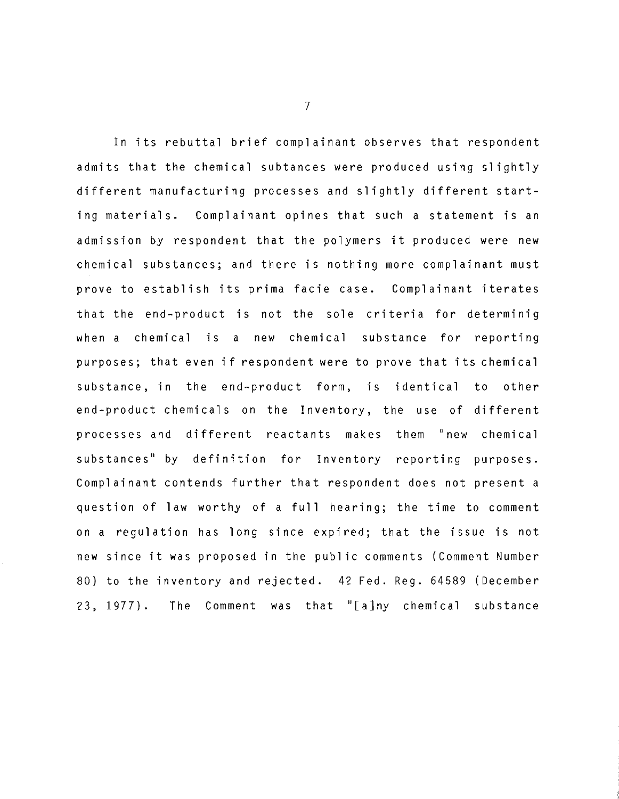In its rebuttal brief complainant observes that respondent admits that the chemical subtances were produced using slightly different manufacturing processes and slightly different starting materials. Complainant opines that such a statement is an admission by respondent that the polymers it produced were new chemical substances; and there is nothing more complainant must prove to establish its prima facie case. Complainant iterates that the end-product is not the sole criteria for determinig when a chemical is a new chemical substance for reporting purposes; that even if respondent were to prove that its chemical substance, in the end-product form, is identical to other end-product chemicals on the Inventory, the use of different processes and different reactants makes them "new chemical substances'' by definition for Inventory reporting purposes. Complainant contends further that respondent does not present a question of law worthy of a **full** hearing; the time to comment on a regulation has long since expired; that the issue is not new since it was proposed in the public comments (Comment Number 80) to the inventory and rejected. 42 Fed. Reg. 64589 (December 23, 1977). The Comment was that "[a]ny chemical substance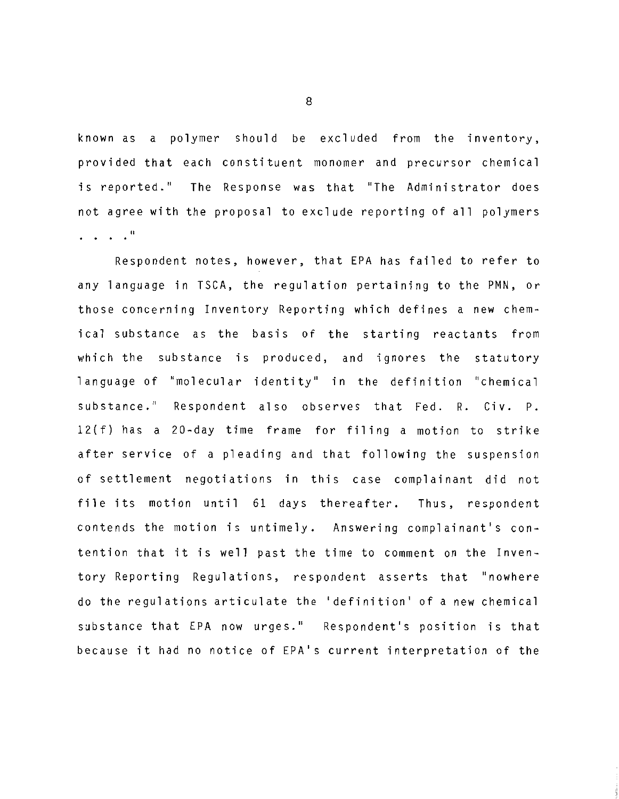known as a polymer should be excluded from the inventory, provided that each constituent monomer and precursor chemical is reported." The Response was that "The Administrator does not agree with the proposal to exclude reporting of all polymers . . . . "

Respondent notes, however, that EPA has failed to refer to any language in TSCA, the regulation pertaining to the PMN, or those concerning Inventory Reporting which defines a new chemical substance as the basis of the starting reactants from which the substance is produced, and ignores the statutory language of "molecular identity" in the definition "chemical substance." Respondent also observes that Fed. R. Civ. P. 12(f) has a 20-day time frame for filing a motion to strike after service of a pleading and that following the suspension of settlement negotiations in this case complainant did not file its motion until 61 days thereafter. Thus, respondent contends the motion is untimely. Answering complainant's contention that it is well past the time to comment on the Inventory Reporting Regulations, respondent asserts that "nowhere do the regulations articulate the 'definition' of a new chemical substance that EPA now urges." Respondent's position is that because it had no notice of EPA's current interpretation of the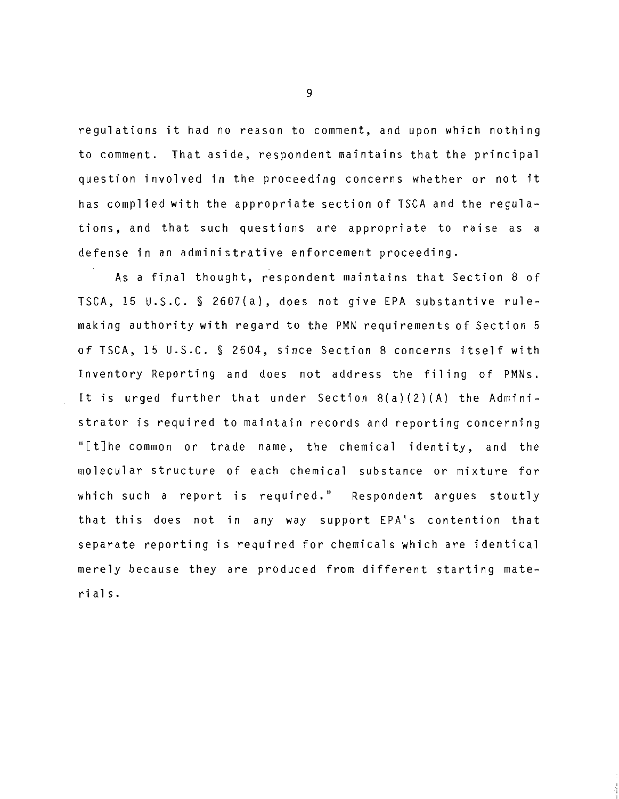regulations it had no reason to comment, and upon which nothing to comment. That aside, respondent maintains that the principal question involved in the proceeding concerns whether or not it has complied with the appropriate section of TSCA and the regulations, and that such questions are appropriate to raise as a defense in an administrative enforcement proceeding.

As a final thought, respondent maintains that Section 8 of TSCA, 15 U.S.C. § 2607(a), does not give EPA substantive rulemaking authority with regard to the PMN requirements of Section 5 of TSCA, 15 U.S.C. § 2604, since Section 8 concerns itself with Inventory Reporting and does not address the filing of PMNs. It is urged further that under Section 8(a)(2)(A) the Administrator is required to maintain records and reporting concerning "[t]he common or trade name, the chemical identity, and the molecular structure of each chemical substance or mixture for which such a report is required." Respondent argues stoutly that this does not in any way support EPA's contention that separate reporting is required for chemicals which are identical merely because they are produced from different starting materials.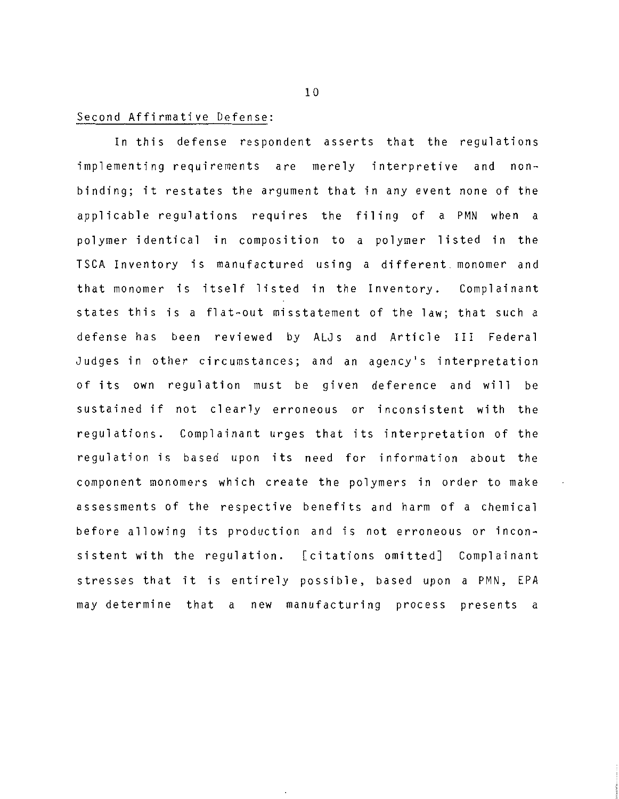### Second Affirmative Defense:

In this defense respondent asserts that the regulations implementing requirements are merely interpretive and nonbinding; it restates the argument that in any event none of the applicable regulations requires the filing of a PMN when a polymer identical in composition to a polymer listed in the TSCA Inventory is manufactured using a different. monomer and that monomer is itself listed in the Inventory. Complainant states this is a flat-out misstatement of the law; that such a defense has been reviewed by ALJs and Article III Federal Judges in other circumstances; and an agency's interpretation of its own regulation must be given deference and will be sustained if not clearly erroneous or inconsistent with the regulations. Complainant urges that its interpretation of the regulation is based upon its need for information about the component monomers which create the polymers in order to make assessments of the respective benefits and harm of a chemical before allowing its production and is not erroneous or inconsistent with the regulation. [citations omitted] Complainant stresses that it is entirely possible, based upon a PMN, EPA may determine that a new manufacturing process presents a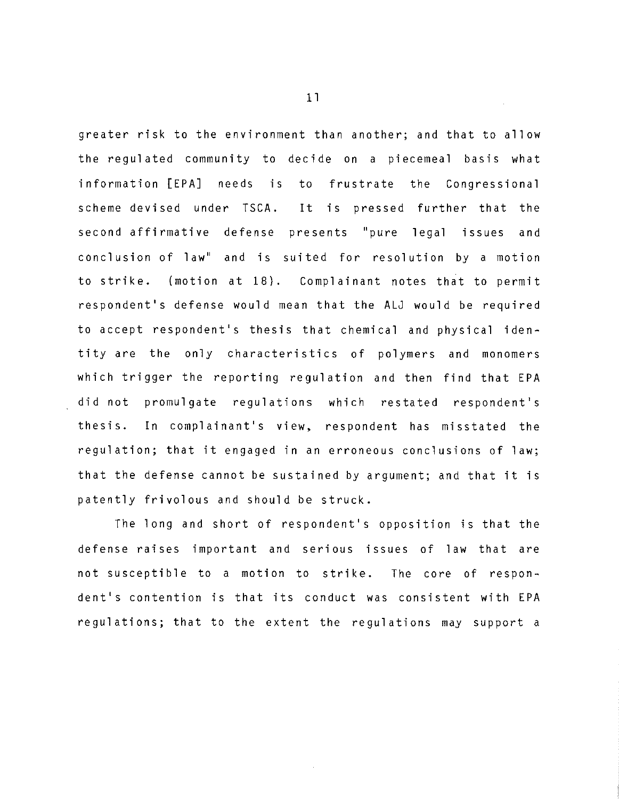greater risk to the environment than another; and that to allow the regulated community to decide on a piecemeal basis what information [EPA] needs is to frustrate the Congressional scheme devised under TSCA. It is pressed further that the second affirmative defense presents ''pure legal issues and conclusion of law" and is suited for resolution by a motion to strike. (motion at 18). Complainant notes that to permit respondent's defense would mean that the ALJ would be required to accept respondent's thesis that chemical and physical identity are the only characteristics of polymers and monomers which trigger the reporting regulation and then find that EPA did not promulgate regulations which restated respondent's thesis. In complainant's view, respondent has misstated the regulation; that it engaged in an erroneous conclusions of law; that the defense cannot be sustained by argument; and that it is patently frivolous and should be struck.

The long and short of respondent's opposition is that the defense raises important and serious issues of law that are not susceptible to a motion to strike. The core of respondent's contention is that its conduct was consistent with EPA regulations; that to the extent the regulations may support a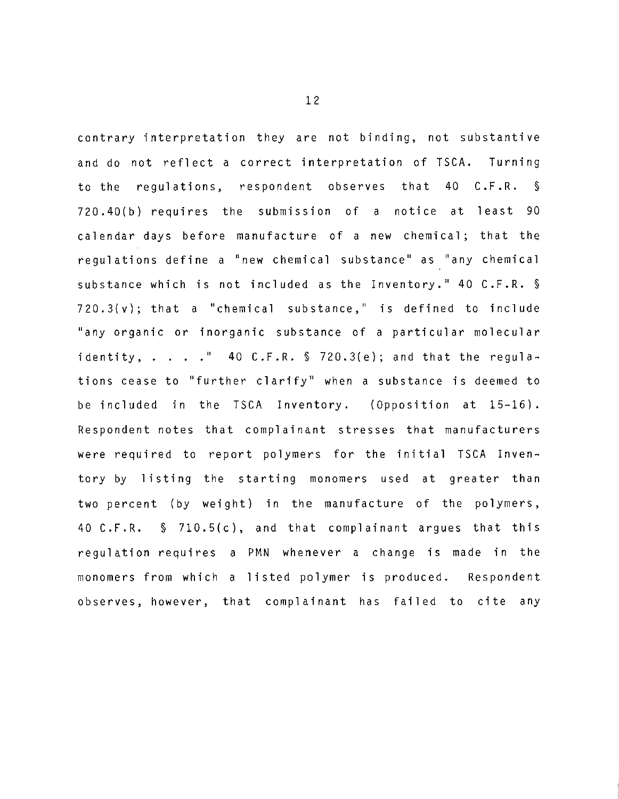contrary interpretation they are not binding, not substantive and do not reflect a correct interpretation of TSCA. Turning to the regulations, respondent observes that 40 C.F.R. § 720.40(b) requires the submission of a notice at least 90 calendar days before manufacture of a new chemical; that the regulations define a "new chemical substance" as "any chemical substance which is not included as the Inventory.'' 40 C.F.R. § 720.3(v); that a "chemical substance," is defined to include "any organic or inorganic substance of a particular molecular identity,  $\ldots$  ." 40 C.F.R. § 720.3(e); and that the regulations cease to ''further clarify" when a substance is deemed to be included in the TSCA Inventory. (Opposition at 15-16). Respondent notes that complainant stresses that manufacturers were required to report polymers for the initial TSCA Inventory by listing the starting monomers used at greater than two percent (by weight) in the manufacture of the polymers, 40 C.F.R. § 710.5(c), and that complainant argues that this regulation requires a PMN whenever a change is made in the monomers from which a listed polymer is produced. Respondent observes, however, that complainant has failed to cite any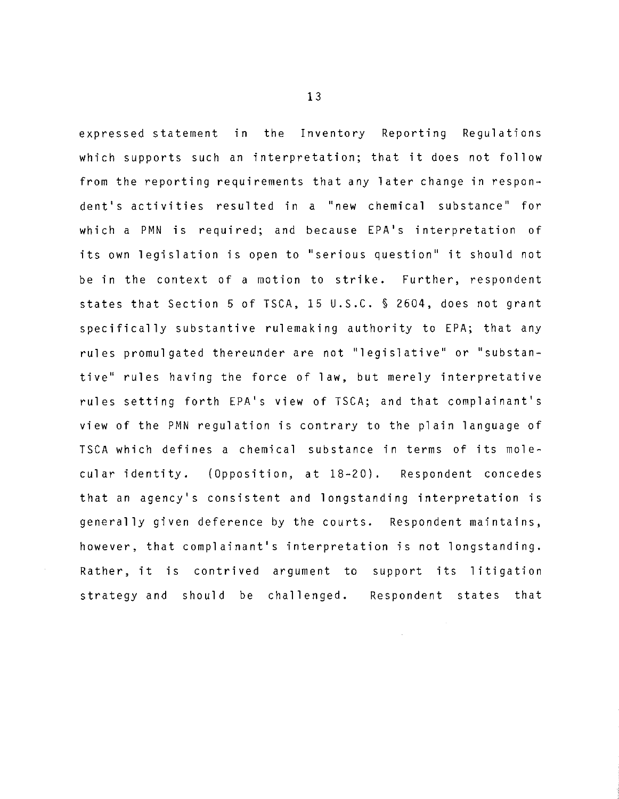expressed statement in the Inventory Reporting Regulations which supports such an interpretation; that it does not follow from the reporting requirements that any later change in respondent's activities resulted in a "new chemical substance" for which a PMN is required; and because EPA's interpretation of its own legislation is open to "serious question" it should not be in the context of a motion to strike. Further, respondent states that Section 5 of TSCA, 15 U.S.C. § 2604, does not grant specifically substantive rulemaking authority to EPA; that any rules promulgated thereunder are not "legislative'' or "substantive" rules having the force of law, but merely interpretative rules setting forth EPA's view of TSCA; and that complainant's view of the PMN regulation is contrary to the plain language of TSCA which defines a chemical substance in terms of its molecular identity. (Opposition, at 18-20). Respondent concedes that an agency's consistent and longstanding interpretation is generally given deference by the courts. Respondent maintains, however, that complainant's interpretation is not longstanding. Rather, it is contrived argument to support its litigation strategy and should be challenged. Respondent states that

t.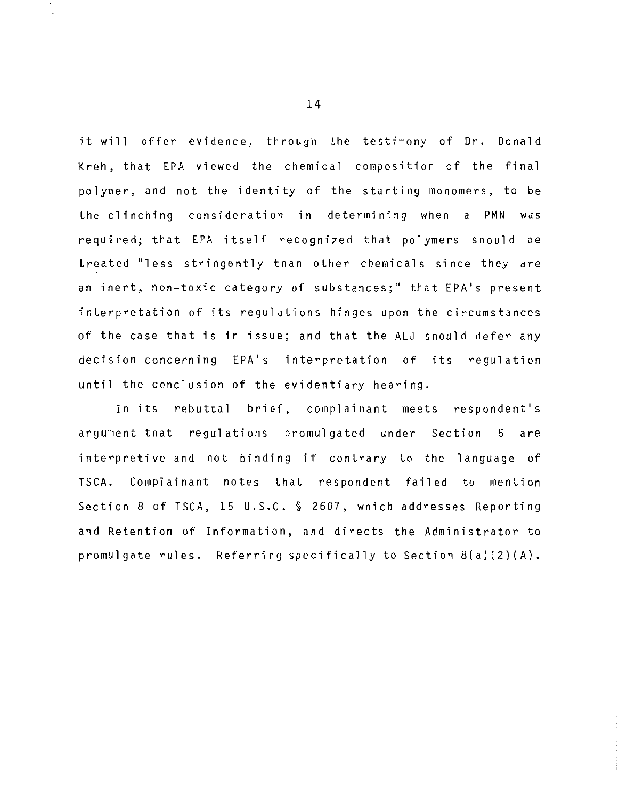it will offer evidence, through the testimony of Dr. Donald Kreh, that EPA viewed the chemical composition of the final polymer, and not the identity of the starting monomers, to be the clinching consideration in determining when a PMN was required; that EPA itself recognized that polymers should be treated "less stringently than other chemicals since they are an inert, non-toxic category of substances;'' that EPA's present interpretation of its regulations hinges upon the circumstances of the case that is in issue; and that the ALJ should defer any decision concerning EPA's interpretation of its regulation until the conclusion of the evidentiary hearing.

In its rebuttal brief, complainant meets respondent's argument that regulations promulgated under Section 5 are interpretive and not binding if contrary to the language of TSCA. Complainant notes that respondent failed to mention Section 8 of TSCA, 15 u.s.c. § 2607, which addresses Reporting and Retention of Information, and directs the Administrator to promulgate rules. Referring specifically to Section 8(a)(2)(A).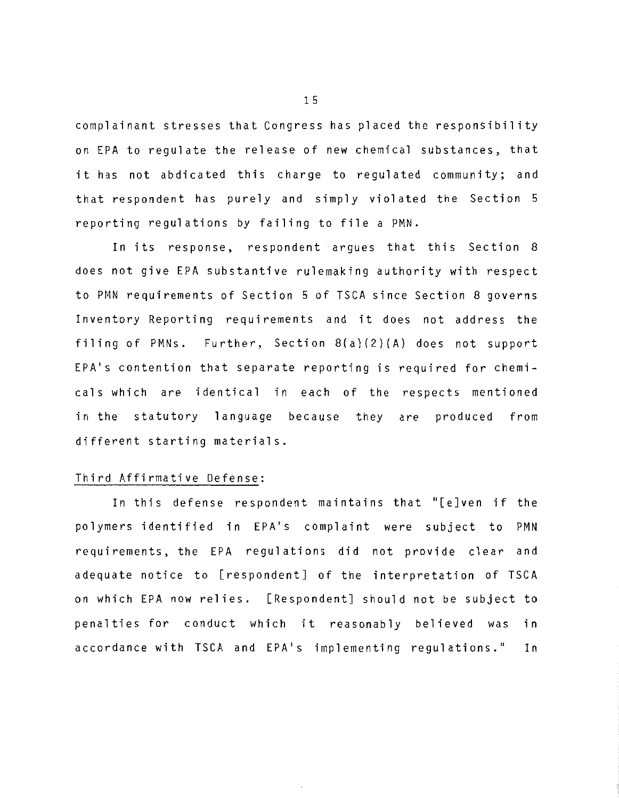complainant stresses that Congress has placed the responsibility on EPA to regulate the release of new chemical substances, that it has not abdicated this charge to regulated community; and that respondent has purely and simply violated the Section 5 reporting regulations by failing to file a PMN.

In its response, respondent argues that this Section 8 does not give EPA substantive rulemaking authority with respect to PMN requirements of Section 5 of TSCA since Section 8 governs Inventory Reporting requirements and it does not address the filing of PMNs. Further, Section 8(a)(2)(A) does not support EPA's contention that separate reporting is required for chemicals which are identical in each of the respects mentioned in the statutory language because they are produced from different starting materials.

### Third Affirmative Defense:

In this defense respondent maintains that "[e]ven if the polymers identified in EPA's complaint were subject to PMN requirements, the EPA regulations did not provide clear and adequate notice to [respondent] of the interpretation of TSCA on which EPA now relies. [Respondent] should not be subject to penalties for conduct which it reasonably believed was in accordance with TSCA and EPA's implementing regulations." In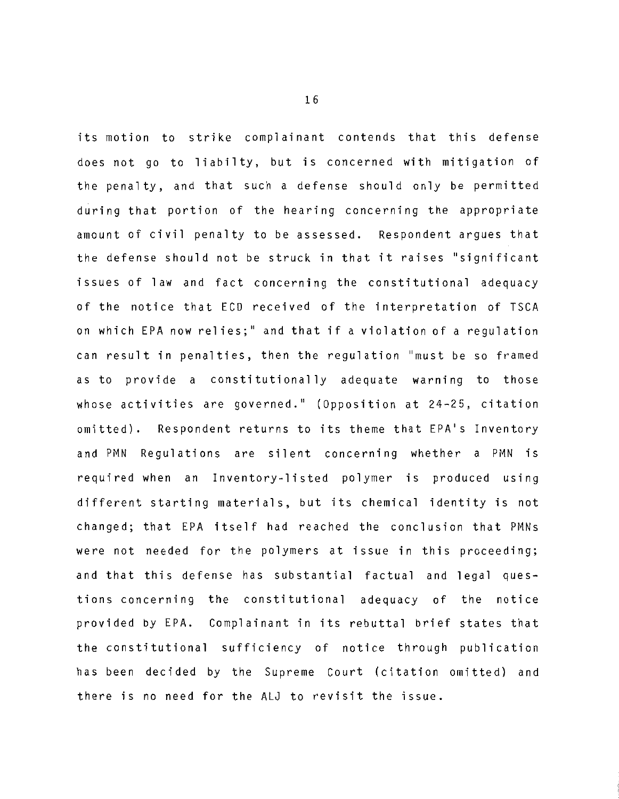its motion to strike complainant contends that this defense does not go to liabilty, but is concerned with mitigation of the penalty, and that such a defense should only be permitted during that portion of the hearing concerning the appropriate amount of civil penalty to be assessed. Respondent argues that the defense should not be struck in that it raises ''significant issues of law and fact concerning the constitutional adequacy of the notice that ECD received of the interpretation of TSCA on which EPA now relies;" and that if a violation of a regulation can result in penalties, then the regulation "must be so framed as to provide a constitutionally adequate warning to those whose activities are governed." (Opposition at 24-25, citation omitted). Respondent returns to its theme that EPA's Inventory and PMN Regulations are silent concerning whether a PMN is required when an Inventory-listed polymer is produced using different starting materials, but its chemical identity is not changed; that EPA itself had reached the conclusion that PMNs were not needed for the polymers at issue in this proceeding; and that this defense has substantial factual and legal questions concerning the constitutional adequacy of the notice provided by EPA. Complainant in its rebuttal brief states that the constitutional sufficiency of notice through publication has been decided by the Supreme Court (citation omitted) and there is no need for the ALJ to revisit the issue.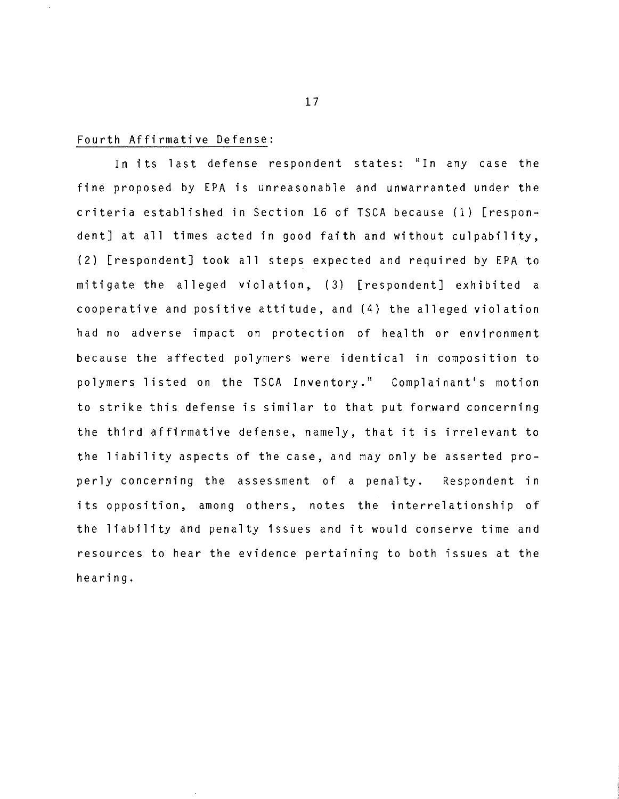## Fourth Affirmative Defense:

In its last defense respondent states: "In any case the fine proposed by EPA is unreasonable and unwarranted under the criteria established in Section 16 of TSCA because (1) [respondent] at all times acted in good faith and without culpability, (2) [respondent] took **all** steps expected and required by EPA to mitigate the alleged violation, (3) [respondent] exhibited a cooperative and positive attitude, and (4) the alleged violation had no adverse impact on protection of health or environment because the affected polymers were identical in composition to polymers listed on the TSCA Inventory." Complainant's motion to strike this defense is similar to that put forward concerning the third affirmative defense, namely, that it is irrelevant to the liability aspects of the case, and may only be asserted properly concerning the assessment of a penalty. Respondent in its opposition, among others, notes the interrelationship of the liability and penalty issues and **it** would conserve time and resources to hear the evidence pertaining to both issues at the hearing.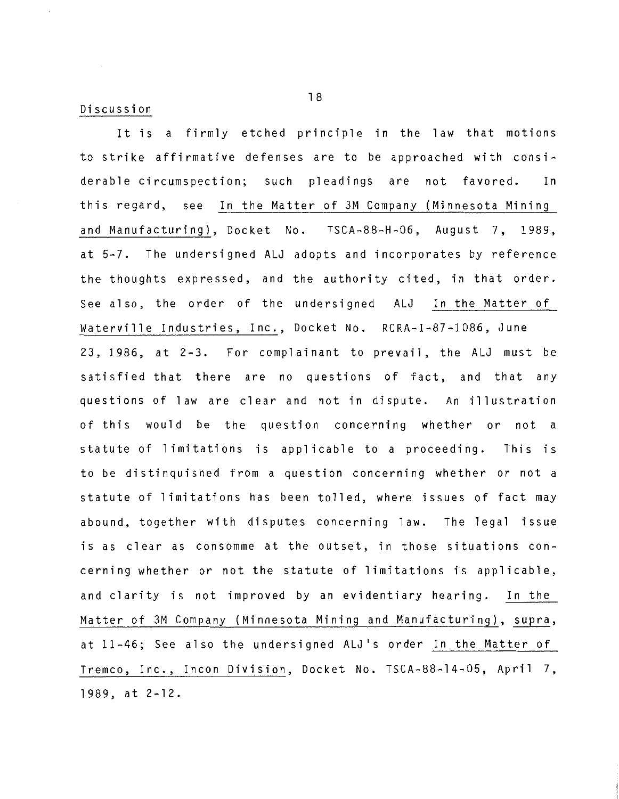#### Discussion

It is a firmly etched principle in the law that motions to strike affirmative defenses are to be approached with considerable circumspection; such pleadings are not favored. In this regard, see In the Matter of 3M Company (Minnesota Mining and Manufacturing), Docket No. TSCA-88-H-06, August 7, 1989, at 5-7. The undersigned ALJ adopts and incorporates by reference the thoughts expressed, and the authority cited, in that order. See also, the order of the undersigned ALJ In the Matter of Waterville Industries, Inc., Docket No. RCRA-I-87-1086, June 23, 1986, at 2-3. For complainant to prevail, the ALJ must be satisfied that there are no questions of fact, and that any questions of law are clear and not in dispute. An illustration of this would be the question concerning whether or not a statute of limitations is applicable to a proceeding. This is to be distinquished from a question concerning whether or not a statute of limitations has been tolled, where issues of fact may abound, together with disputes concerning law. The legal issue is as clear as consomme at the outset, in those situations concerning whether or not the statute of limitations is applicable, and clarity is not improved by an evidentiary hearing. In the Matter of 3M Company (Minnesota Mining and Manufacturing), supra, at 11-46; See also the undersigned ALJ 's order In the Matter of Tremco, Inc., Incon Division, Docket No. TSCA-88-14-05, April 7, 1989, at 2-12.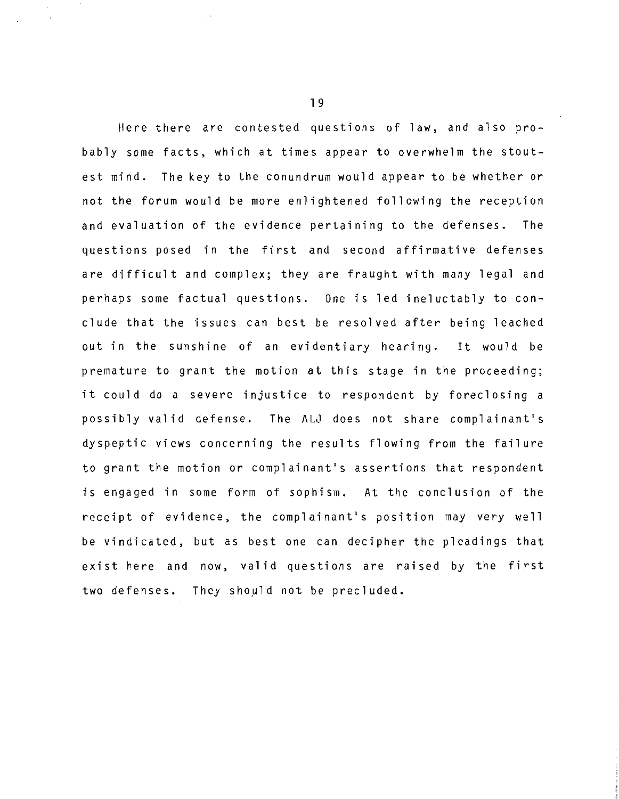Here there are contested questions of law, and also probably some facts, which at times appear to overwhelm the stoutest mind. The key to the conundrum would appear to be whether or not the forum would be more enlightened following the reception and evaluation of the evidence pertaining to the defenses. The questions posed **in** the first and second affirmative defenses are difficult and complex; they are fraught **with** many legal and perhaps some factual questions. One is led ineluctably to conclude that the issues can best be resolved after being leached out in the sunshine of an evidentiary hearing. It would be premature to grant the motion at this stage in the proceeding; it could do a severe injustice to respondent by foreclosing a possibly valid defense. The ALJ does not share complainant's dyspeptic views concerning the results flowing from the failure to grant the motion or complainant's assertions that respondent is engaged in some form of sophism. At the conclusion of the receipt of evidence, the complainant's position may very well be vindicated, but as best one can decipher the pleadings that exist here and now, valid questions are raised by the first two defenses. They should not be precluded.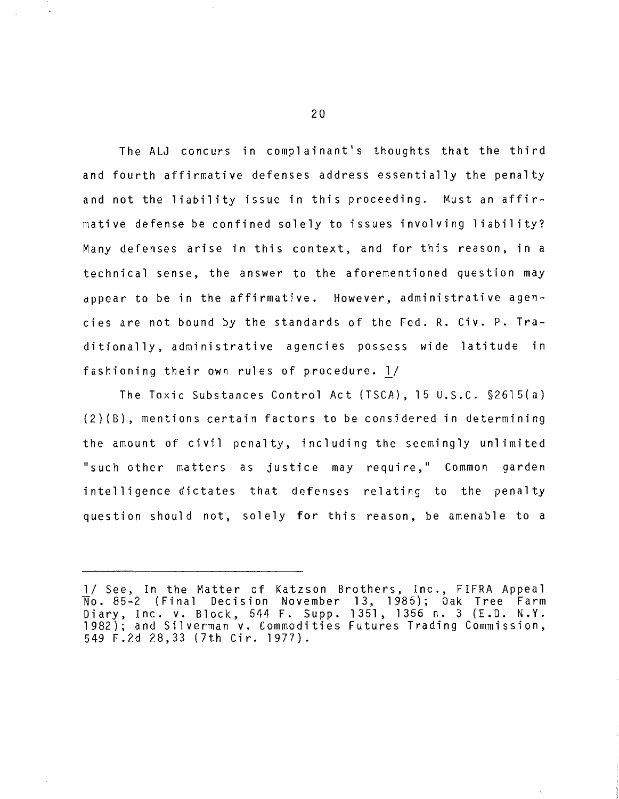The ALJ concurs in complainant's thoughts that the third and fourth affirmative defenses address essentially the penalty and not the liability issue in this proceeding. Must an affirmative defense be confined solely to issues involving liability? Many defenses arise in this context, and for this reason, in a technical sense, the answer to the aforementioned question may appear to be in the affirmative. However, administrative agencies are not bound by the standards of the Fed. R. Civ. P. Traditionally, administrative agencies possess wide latitude in fashioning their own rules of procedure. l/

The Toxic Substances Control Act (TSCA), 15 U.S.C. §2615(a) (2)(B), mentions certain factors to be considered in determining the amount of civil penalty, including the seemingly unlimited "such other matters as justice may require," Common garden intelligence dictates that defenses relating to the penalty question should not, solely for this reason, be amenable to a

<sup>1/</sup> See, In the Matter of Katzson Brothers, Inc., FIFRA Appeal No. 85-2 (Final Decision November 13, 1985); Oak Tree Farm Diary, Inc. v. Block, 544 F. Supp. 1351, 1356 n. 3 (E.D. N.Y. 1982); and Silverman v. Commodities Futures Trading Commission, 549 F.2d 28,33 (7th Cir. 1977).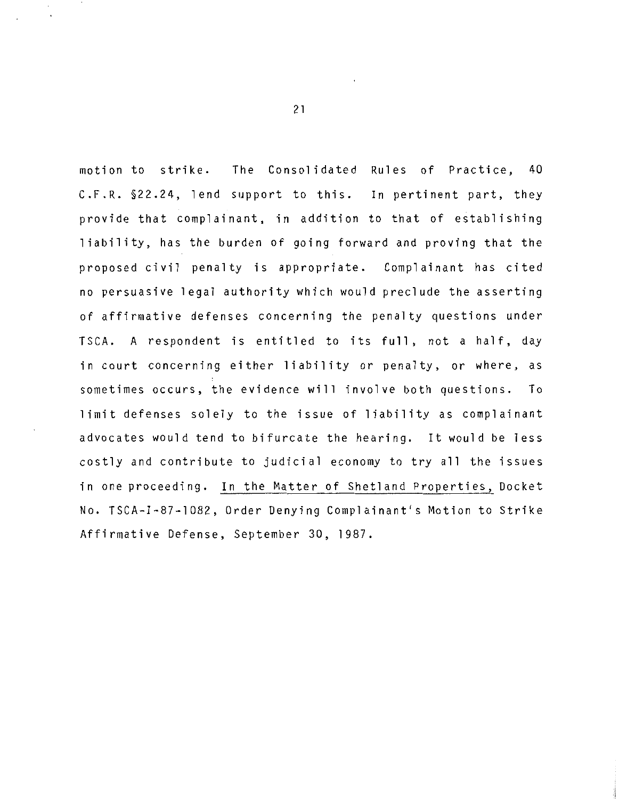motion to strike. The Consolidated Rules of Practice, 40 C.F.R. §22.24, lend support to this. In pertinent part, they provide that complainant, in addition to that of establishing liability, has the burden of going forward and proving that the proposed civil penalty is appropriate. Complainant has cited no persuasive legal authority which would preclude the asserting of affirmative defenses concerning the penalty questions under TSCA. A respondent is entitled to its full, not a half, day in court concerning either liability or penalty, or where, as sometimes occurs, the evidence will involve both questions. To limit defenses solely to the issue of liability as complainant advocates would tend to bifurcate the hearing. It would be less costly and contribute to judicial economy to try all the issues in one proceeding. In the Matter of Shetland Properties, Docket No. TSCA-I-87-1082, Order Denying Complainant's Motion to Strike Affirmative Defense, September 30, 1987.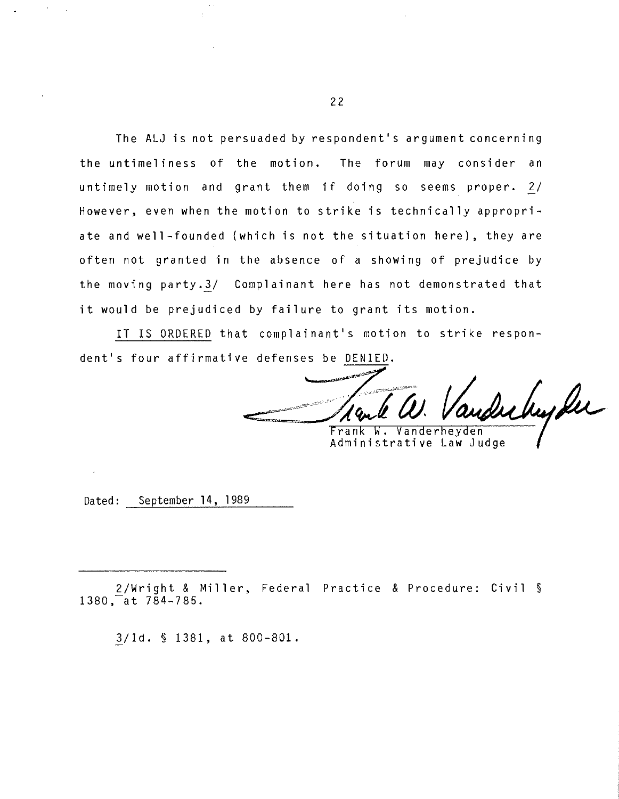The ALJ is not persuaded by respondent's argument concerning the untimeliness of the motion. The forum may consider an untimely motion and grant them if doing so seems proper. 2/ However, even when the motion to strike is technically appropriate and well-founded {which is not the situation here), they are often not granted in the absence of a showing of prejudice by the moving party.3/ Complainant here has not demonstrated that it would be prejudiced by failure to grant its motion.

IT IS ORDERED that complainant's motion to strike respondent's four affirmative defenses be DENIED.

Inhyder Frank W. Vanderheyden

Administrative Law Judge

Dated: September 14, 1989

2/Wright & Miller, Federal Practice & Procedure: Civil§ 1380, at 784-785.

3/Id. § 1381, at 800-801.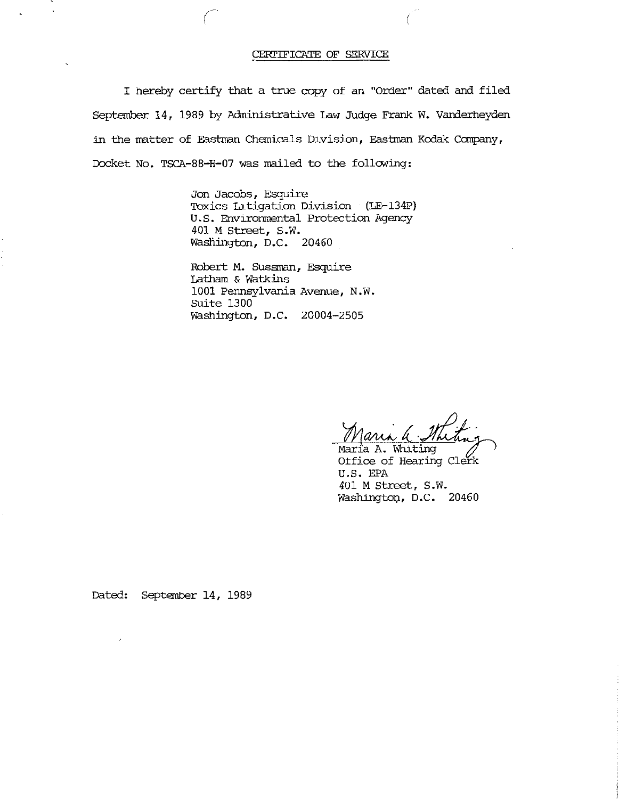#### CERriFICATE OF SERVICE

I hereby certify that a true copy of an "Order" dated and filed September 14, 1989 by Administrative Law Judge Frank W. Vanderheyden in the matter of Eastman Chemicals Division, Eastman Kodak Company, Docket No. TSCA-88-H-07 was mailed to the following:

(

Jon Jacobs, Esquire Toxics Latigation Division (LE-134P) U.S. Environmental Protection Agency 401 M Street, S.W. Wasfiington, D.C. 20460

Robert M. SUssman, Esquire Latham & Watkins 1001 Pennsylvania Avenue, N.W. Suite 1300 Washington, D.C. 20004-2505

Maria a Stheting Maria A. Whiting

Otfice of Hearing Clerk U.S. EPA 401 M Street, S.W. Washington, D.C. 20460

Dated: September 14, 1989